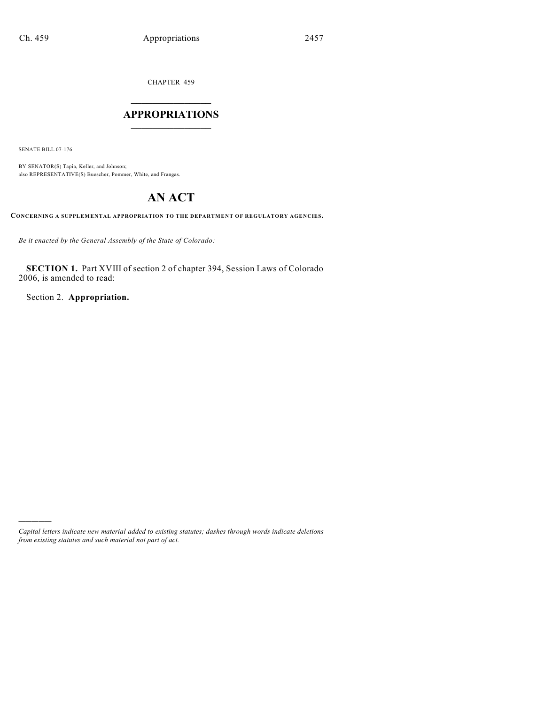CHAPTER 459

# $\mathcal{L}_\text{max}$  . The set of the set of the set of the set of the set of the set of the set of the set of the set of the set of the set of the set of the set of the set of the set of the set of the set of the set of the set **APPROPRIATIONS**  $\_$   $\_$   $\_$   $\_$   $\_$   $\_$   $\_$   $\_$

SENATE BILL 07-176

)))))

BY SENATOR(S) Tapia, Keller, and Johnson; also REPRESENTATIVE(S) Buescher, Pommer, White, and Frangas.

# **AN ACT**

**CONCERNING A SUPPLEMENTAL APPROPRIATION TO THE DEPARTMENT OF REGULATORY AGENCIES.**

*Be it enacted by the General Assembly of the State of Colorado:*

**SECTION 1.** Part XVIII of section 2 of chapter 394, Session Laws of Colorado 2006, is amended to read:

Section 2. **Appropriation.**

*Capital letters indicate new material added to existing statutes; dashes through words indicate deletions from existing statutes and such material not part of act.*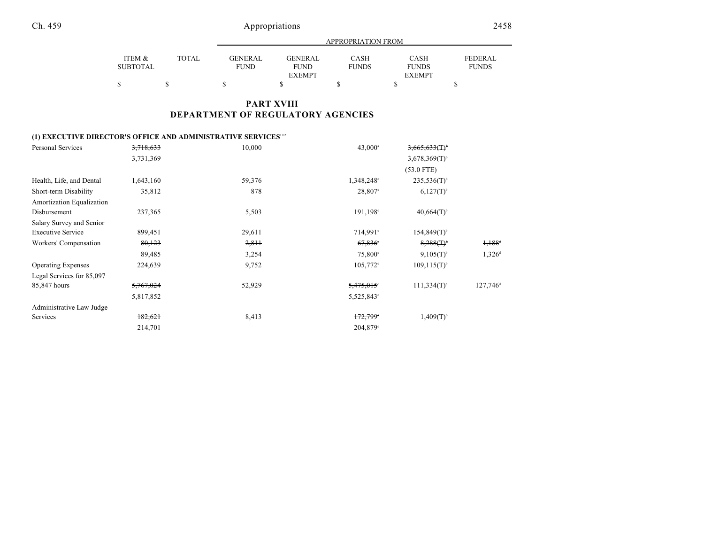|                 |       |             | APPROPRIATION FROM |              |               |                |  |  |  |
|-----------------|-------|-------------|--------------------|--------------|---------------|----------------|--|--|--|
| ITEM &          | TOTAL | GENERAL     | <b>GENERAL</b>     | CASH         | <b>CASH</b>   | <b>FEDERAL</b> |  |  |  |
| <b>SUBTOTAL</b> |       | <b>FUND</b> | <b>FUND</b>        | <b>FUNDS</b> | <b>FUNDS</b>  | <b>FUNDS</b>   |  |  |  |
|                 |       |             | <b>EXEMPT</b>      |              | <b>EXEMPT</b> |                |  |  |  |
|                 |       |             |                    | S            |               |                |  |  |  |

# **PART XVIII DEPARTMENT OF REGULATORY AGENCIES**

# **(1) EXECUTIVE DIRECTOR'S OFFICE AND ADMINISTRATIVE SERVICES<sup>112</sup>**

| Personal Services         | 3,718,633            | 10,000 | 43,000 <sup>a</sup> | $3,665,633$ (T) <sup>b</sup> |                      |
|---------------------------|----------------------|--------|---------------------|------------------------------|----------------------|
|                           | 3,731,369            |        |                     | $3,678,369(T)^{6}$           |                      |
|                           |                      |        |                     | $(53.0$ FTE)                 |                      |
| Health, Life, and Dental  | 1,643,160            | 59,376 | $1,348,248$ °       | $235,536(T)^{b}$             |                      |
| Short-term Disability     | 35,812               | 878    | 28,807°             | $6,127(T)^{b}$               |                      |
| Amortization Equalization |                      |        |                     |                              |                      |
| Disbursement              | 237,365              | 5,503  | 191,198°            | $40,664(T)$ <sup>b</sup>     |                      |
| Salary Survey and Senior  |                      |        |                     |                              |                      |
| <b>Executive Service</b>  | 899,451              | 29,611 | 714,991°            | $154,849(T)$ <sup>b</sup>    |                      |
| Workers' Compensation     | 80,123               | 2,811  | 67,836              | 8,288(1)                     | 1,188                |
|                           | 89,485               | 3,254  | 75,800°             | $9,105(T)^{6}$               | 1,326 <sup>d</sup>   |
| <b>Operating Expenses</b> | 224,639              | 9,752  | $105,772^{\circ}$   | $109, 115(T)^{b}$            |                      |
| Legal Services for 85,097 |                      |        |                     |                              |                      |
| 85,847 hours              | <del>5,767,024</del> | 52,929 | 5,475,015           | $111,334(T)^{b}$             | 127,746 <sup>d</sup> |
|                           | 5,817,852            |        | 5,525,843°          |                              |                      |
| Administrative Law Judge  |                      |        |                     |                              |                      |
| Services                  | 182,621              | 8,413  | 172,799             | $1,409(T)^{b}$               |                      |
|                           | 214,701              |        | 204,879°            |                              |                      |
|                           |                      |        |                     |                              |                      |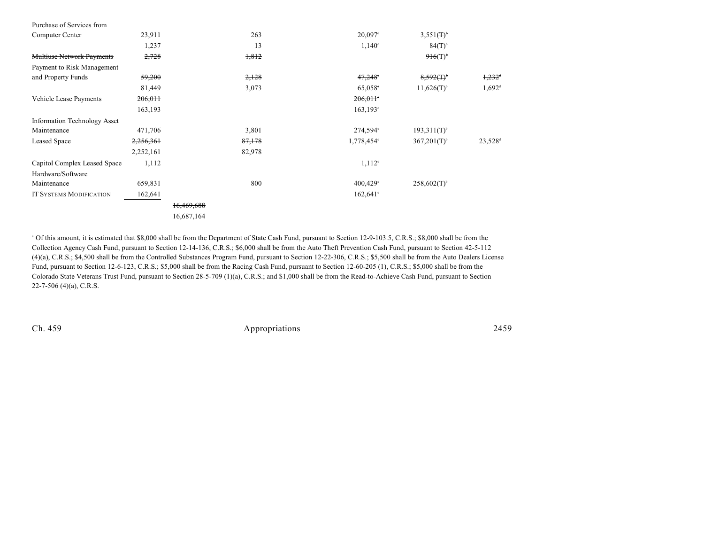| Purchase of Services from           |           |            |        |                       |                           |                      |
|-------------------------------------|-----------|------------|--------|-----------------------|---------------------------|----------------------|
| Computer Center                     | 23,911    |            | 263    | $20,097$ <sup>*</sup> | $3,551($ T) <sup>*</sup>  |                      |
|                                     | 1,237     |            | 13     | 1,140°                | $84(T)$ <sup>b</sup>      |                      |
| <b>Multiuse Network Payments</b>    | 2,728     |            | 1,812  |                       | 916(T)                    |                      |
| Payment to Risk Management          |           |            |        |                       |                           |                      |
| and Property Funds                  | 59,200    |            | 2,128  | 47,248                | $8,592($ T) <sup>b</sup>  | $1,232$ <sup>d</sup> |
|                                     | 81,449    |            | 3,073  | 65,058                | $11,626(T)$ <sup>b</sup>  | $1,692$ <sup>d</sup> |
| Vehicle Lease Payments              | 206,011   |            |        | 206,011               |                           |                      |
|                                     | 163,193   |            |        | $163, 193$ °          |                           |                      |
| <b>Information Technology Asset</b> |           |            |        |                       |                           |                      |
| Maintenance                         | 471,706   |            | 3,801  | 274,594°              | $193,311(T)$ <sup>b</sup> |                      |
| <b>Leased Space</b>                 | 2,256,361 |            | 87,178 | 1,778,454°            | $367,201(T)^{6}$          | 23,528 <sup>d</sup>  |
|                                     | 2,252,161 |            | 82,978 |                       |                           |                      |
| Capitol Complex Leased Space        | 1,112     |            |        | $1,112^{\circ}$       |                           |                      |
| Hardware/Software                   |           |            |        |                       |                           |                      |
| Maintenance                         | 659,831   |            | 800    | 400,429°              | $258,602(T)$ <sup>b</sup> |                      |
| <b>IT SYSTEMS MODIFICATION</b>      | 162,641   |            |        | $162,641^{\circ}$     |                           |                      |
|                                     |           | 16,469,688 |        |                       |                           |                      |
|                                     |           | 16,687,164 |        |                       |                           |                      |

<sup>a</sup> Of this amount, it is estimated that \$8,000 shall be from the Department of State Cash Fund, pursuant to Section 12-9-103.5, C.R.S.; \$8,000 shall be from the Collection Agency Cash Fund, pursuant to Section 12-14-136, C.R.S.; \$6,000 shall be from the Auto Theft Prevention Cash Fund, pursuant to Section 42-5-112 (4)(a), C.R.S.; \$4,500 shall be from the Controlled Substances Program Fund, pursuant to Section 12-22-306, C.R.S.; \$5,500 shall be from the Auto Dealers License Fund, pursuant to Section 12-6-123, C.R.S.; \$5,000 shall be from the Racing Cash Fund, pursuant to Section 12-60-205 (1), C.R.S.; \$5,000 shall be from the Colorado State Veterans Trust Fund, pursuant to Section 28-5-709 (1)(a), C.R.S.; and \$1,000 shall be from the Read-to-Achieve Cash Fund, pursuant to Section 22-7-506 (4)(a), C.R.S.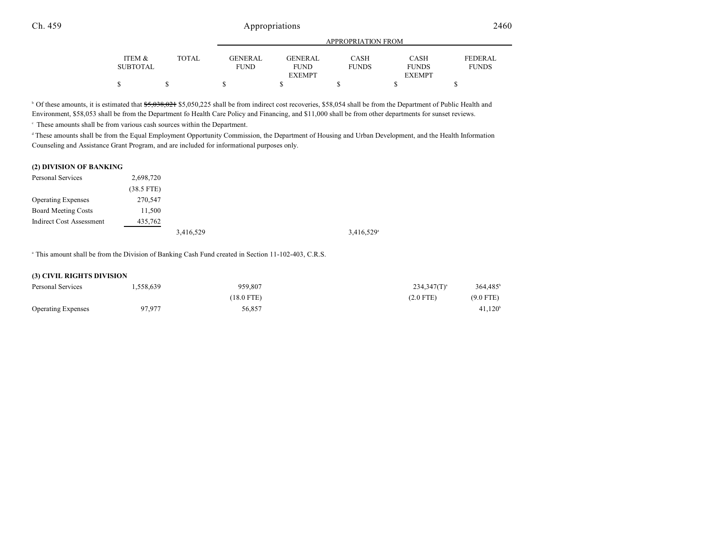|          |              |             | APPROPRIATION FROM |              |               |                |  |  |  |
|----------|--------------|-------------|--------------------|--------------|---------------|----------------|--|--|--|
| ITEM &   | <b>TOTAL</b> | GENERAL     | <b>GENERAL</b>     | CASH         | <b>CASH</b>   | <b>FEDERAL</b> |  |  |  |
| SUBTOTAL |              | <b>FUND</b> | <b>FUND</b>        | <b>FUNDS</b> | <b>FUNDS</b>  | <b>FUNDS</b>   |  |  |  |
|          |              |             | <b>EXEMPT</b>      |              | <b>EXEMPT</b> |                |  |  |  |
|          |              |             |                    |              |               |                |  |  |  |

<sup>b</sup> Of these amounts, it is estimated that \$5,038,021 \$5,050,225 shall be from indirect cost recoveries, \$58,054 shall be from the Department of Public Health and Environment, \$58,053 shall be from the Department fo Health Care Policy and Financing, and \$11,000 shall be from other departments for sunset reviews.

 $\cdot$  These amounts shall be from various cash sources within the Department.

<sup>d</sup> These amounts shall be from the Equal Employment Opportunity Commission, the Department of Housing and Urban Development, and the Health Information Counseling and Assistance Grant Program, and are included for informational purposes only.

#### **(2) DIVISION OF BANKING**

| Personal Services         | 2,698,720    |           |                        |
|---------------------------|--------------|-----------|------------------------|
|                           | $(38.5$ FTE) |           |                        |
| <b>Operating Expenses</b> | 270,547      |           |                        |
| Board Meeting Costs       | 11,500       |           |                        |
| Indirect Cost Assessment  | 435,762      |           |                        |
|                           |              | 3,416,529 | 3,416,529 <sup>a</sup> |

<sup>a</sup> This amount shall be from the Division of Banking Cash Fund created in Section 11-102-403, C.R.S.

#### **(3) CIVIL RIGHTS DIVISION**

| Personal Services         | . 558,639 | 959,807    | $364.485^b$<br>$234,347(T)^{a}$ |
|---------------------------|-----------|------------|---------------------------------|
|                           |           | (18.0 FTE) | $(9.0$ FTE)<br>$(2.0$ FTE)      |
| <b>Operating Expenses</b> | 97,977    | 56.857     | $41,120^{\circ}$                |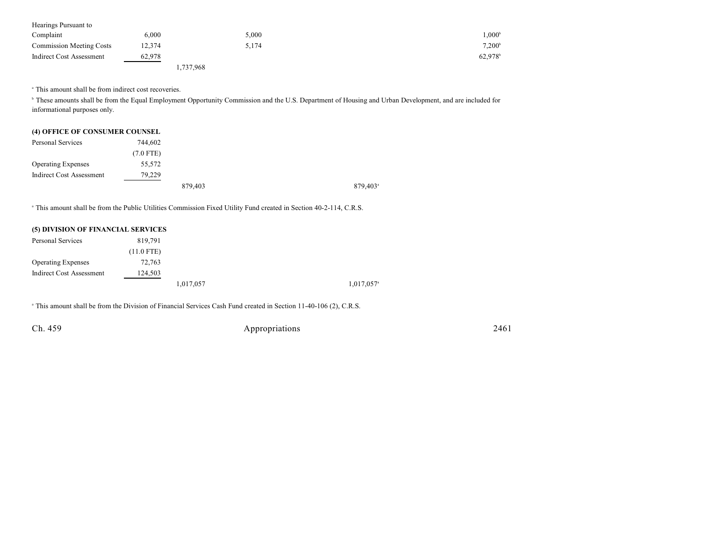| Hearings Pursuant to            |        |           |       |                       |
|---------------------------------|--------|-----------|-------|-----------------------|
| Complaint                       | 6.000  |           | 5,000 | $1.000^\circ$         |
| <b>Commission Meeting Costs</b> | 12,374 |           | 5,174 | $7,200^{\circ}$       |
| <b>Indirect Cost Assessment</b> | 62,978 |           |       | $62,978$ <sup>b</sup> |
|                                 |        | 1,737,968 |       |                       |

<sup>a</sup> This amount shall be from indirect cost recoveries.

<sup>b</sup> These amounts shall be from the Equal Employment Opportunity Commission and the U.S. Department of Housing and Urban Development, and are included for informational purposes only.

| (4) OFFICE OF CONSUMER COUNSEL |             |         |
|--------------------------------|-------------|---------|
| Personal Services              | 744.602     |         |
|                                | $(7.0$ FTE) |         |
| <b>Operating Expenses</b>      | 55,572      |         |
| Indirect Cost Assessment       | 79.229      |         |
|                                |             | 879,403 |

<sup>a</sup> This amount shall be from the Public Utilities Commission Fixed Utility Fund created in Section 40-2-114, C.R.S.

| (5) DIVISION OF FINANCIAL SERVICES |              |           |                          |
|------------------------------------|--------------|-----------|--------------------------|
| Personal Services                  | 819.791      |           |                          |
|                                    | $(11.0$ FTE) |           |                          |
| <b>Operating Expenses</b>          | 72,763       |           |                          |
| <b>Indirect Cost Assessment</b>    | 124,503      |           |                          |
|                                    |              | 1,017,057 | $1,017,057$ <sup>a</sup> |

<sup>a</sup> This amount shall be from the Division of Financial Services Cash Fund created in Section 11-40-106 (2), C.R.S.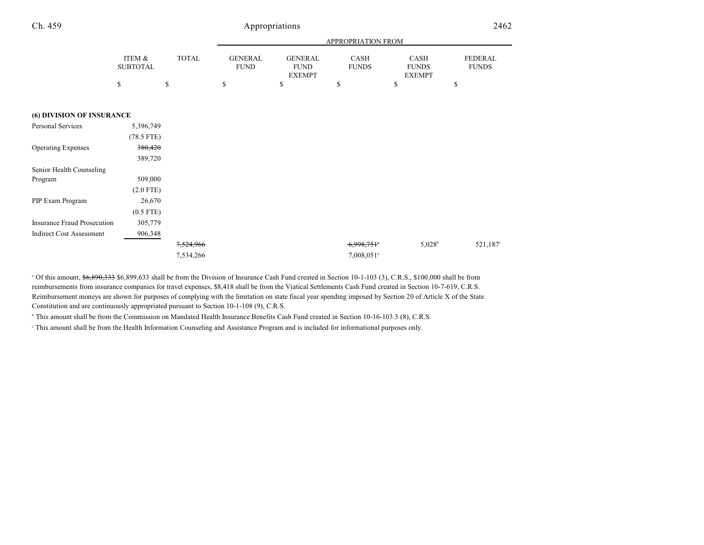| ۰.<br>I<br>× |  |  |
|--------------|--|--|
|--------------|--|--|

# Appropriations

| × |  |
|---|--|

|                                    |                           |              |                               |                                                | APPROPRIATION FROM       |                                              |                         |
|------------------------------------|---------------------------|--------------|-------------------------------|------------------------------------------------|--------------------------|----------------------------------------------|-------------------------|
|                                    | ITEM &<br><b>SUBTOTAL</b> | <b>TOTAL</b> | <b>GENERAL</b><br><b>FUND</b> | <b>GENERAL</b><br><b>FUND</b><br><b>EXEMPT</b> | CASH<br><b>FUNDS</b>     | <b>CASH</b><br><b>FUNDS</b><br><b>EXEMPT</b> | FEDERAL<br><b>FUNDS</b> |
|                                    | \$                        | \$           | \$                            | \$                                             | \$                       | \$                                           | \$                      |
| (6) DIVISION OF INSURANCE          |                           |              |                               |                                                |                          |                                              |                         |
|                                    |                           |              |                               |                                                |                          |                                              |                         |
| Personal Services                  | 5,396,749                 |              |                               |                                                |                          |                                              |                         |
|                                    | $(78.5$ FTE)              |              |                               |                                                |                          |                                              |                         |
| <b>Operating Expenses</b>          | 380,420                   |              |                               |                                                |                          |                                              |                         |
|                                    | 389,720                   |              |                               |                                                |                          |                                              |                         |
| Senior Health Counseling           |                           |              |                               |                                                |                          |                                              |                         |
| Program                            | 509,000                   |              |                               |                                                |                          |                                              |                         |
|                                    | $(2.0$ FTE)               |              |                               |                                                |                          |                                              |                         |
| PIP Exam Program                   | 26,670                    |              |                               |                                                |                          |                                              |                         |
|                                    | $(0.5$ FTE)               |              |                               |                                                |                          |                                              |                         |
| <b>Insurance Fraud Prosecution</b> | 305,779                   |              |                               |                                                |                          |                                              |                         |
| <b>Indirect Cost Assessment</b>    | 906,348                   |              |                               |                                                |                          |                                              |                         |
|                                    |                           | 7,524,966    |                               |                                                | 6,998,751                | $5,028^{\rm b}$                              | 521,187°                |
|                                    |                           | 7,534,266    |                               |                                                | $7,008,051$ <sup>a</sup> |                                              |                         |

<sup>a</sup> Of this amount, \$6,890,333 \$6,899,633 shall be from the Division of Insurance Cash Fund created in Section 10-1-103 (3), C.R.S., \$100,000 shall be from reimbursements from insurance companies for travel expenses, \$8,418 shall be from the Viatical Settlements Cash Fund created in Section 10-7-619, C.R.S. Reimbursement moneys are shown for purposes of complying with the limitation on state fiscal year spending imposed by Section 20 of Article X of the State Constitution and are continuously appropriated pursuant to Section 10-1-108 (9), C.R.S.

<sup>b</sup> This amount shall be from the Commission on Mandated Health Insurance Benefits Cash Fund created in Section 10-16-103.3 (8), C.R.S.

 $\degree$  This amount shall be from the Health Information Counseling and Assistance Program and is included for informational purposes only.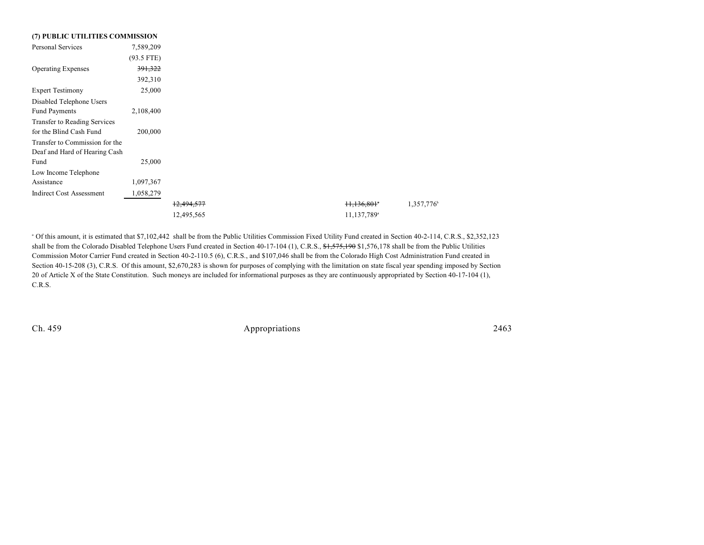| (7) PUBLIC UTILITIES COMMISSION |              |  |
|---------------------------------|--------------|--|
| <b>Personal Services</b>        | 7,589,209    |  |
|                                 | $(93.5$ FTE) |  |
| <b>Operating Expenses</b>       | 391,322      |  |
|                                 | 392,310      |  |
| <b>Expert Testimony</b>         | 25,000       |  |
| Disabled Telephone Users        |              |  |
| <b>Fund Payments</b>            | 2,108,400    |  |
| Transfer to Reading Services    |              |  |
| for the Blind Cash Fund         | 200,000      |  |
| Transfer to Commission for the  |              |  |
| Deaf and Hard of Hearing Cash   |              |  |
| Fund                            | 25,000       |  |
| Low Income Telephone            |              |  |
| Assistance                      | 1,097,367    |  |
| <b>Indirect Cost Assessment</b> | 1,058,279    |  |
|                                 |              |  |
|                                 |              |  |

<sup>a</sup> Of this amount, it is estimated that \$7,102,442 shall be from the Public Utilities Commission Fixed Utility Fund created in Section 40-2-114, C.R.S., \$2,352,123 shall be from the Colorado Disabled Telephone Users Fund created in Section 40-17-104 (1), C.R.S., \$1,575,190 \$1,576,178 shall be from the Public Utilities Commission Motor Carrier Fund created in Section 40-2-110.5 (6), C.R.S., and \$107,046 shall be from the Colorado High Cost Administration Fund created in Section 40-15-208 (3), C.R.S. Of this amount, \$2,670,283 is shown for purposes of complying with the limitation on state fiscal year spending imposed by Section 20 of Article X of the State Constitution. Such moneys are included for informational purposes as they are continuously appropriated by Section 40-17-104 (1), C.R.S.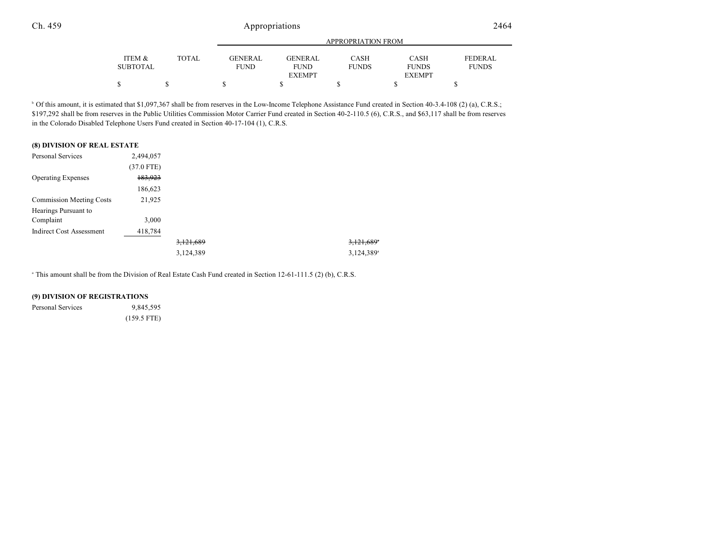|                 |              |                | APPROPRIATION FROM |              |               |              |  |
|-----------------|--------------|----------------|--------------------|--------------|---------------|--------------|--|
| ITEM &          | <b>TOTAL</b> | <b>GENERAL</b> | GENERAL            | CASH         | CASH          | FEDERAL      |  |
| <b>SUBTOTAL</b> |              | <b>FUND</b>    | <b>FUND</b>        | <b>FUNDS</b> | <b>FUNDS</b>  | <b>FUNDS</b> |  |
|                 |              |                | <b>EXEMPT</b>      |              | <b>EXEMPT</b> |              |  |
|                 |              |                |                    |              |               |              |  |

<sup>b</sup> Of this amount, it is estimated that \$1,097,367 shall be from reserves in the Low-Income Telephone Assistance Fund created in Section 40-3.4-108 (2) (a), C.R.S.; \$197,292 shall be from reserves in the Public Utilities Commission Motor Carrier Fund created in Section 40-2-110.5 (6), C.R.S., and \$63,117 shall be from reserves in the Colorado Disabled Telephone Users Fund created in Section 40-17-104 (1), C.R.S.

#### **(8) DIVISION OF REAL ESTATE**

| <b>Personal Services</b>        | 2,494,057    |           |                          |
|---------------------------------|--------------|-----------|--------------------------|
|                                 | $(37.0$ FTE) |           |                          |
| <b>Operating Expenses</b>       | 183,923      |           |                          |
|                                 | 186,623      |           |                          |
| <b>Commission Meeting Costs</b> | 21,925       |           |                          |
| Hearings Pursuant to            |              |           |                          |
| Complaint                       | 3,000        |           |                          |
| <b>Indirect Cost Assessment</b> | 418,784      |           |                          |
|                                 |              | 3,121,689 | $3,121,689$ <sup>*</sup> |
|                                 |              | 3,124,389 | 3,124,389 <sup>a</sup>   |

<sup>a</sup> This amount shall be from the Division of Real Estate Cash Fund created in Section 12-61-111.5 (2) (b), C.R.S.

#### **(9) DIVISION OF REGISTRATIONS**

Personal Services 9,845,595

(159.5 FTE)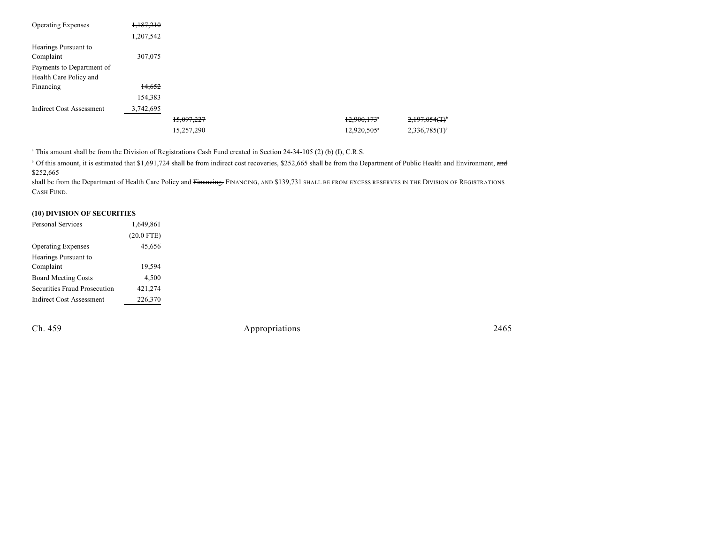| <b>Operating Expenses</b>       | 1,187,210 |            |                           |                              |
|---------------------------------|-----------|------------|---------------------------|------------------------------|
|                                 | 1,207,542 |            |                           |                              |
| Hearings Pursuant to            |           |            |                           |                              |
| Complaint                       | 307,075   |            |                           |                              |
| Payments to Department of       |           |            |                           |                              |
| Health Care Policy and          |           |            |                           |                              |
| Financing                       | 14,652    |            |                           |                              |
|                                 | 154,383   |            |                           |                              |
| <b>Indirect Cost Assessment</b> | 3,742,695 |            |                           |                              |
|                                 |           | 15,097,227 | $12,900,173$ <sup>*</sup> | $2,197,054($ T) <sup>*</sup> |
|                                 |           | 15,257,290 | 12,920,505 <sup>a</sup>   | $2,336,785(T)$ <sup>b</sup>  |

<sup>a</sup> This amount shall be from the Division of Registrations Cash Fund created in Section 24-34-105 (2) (b) (I), C.R.S.

 $\degree$  Of this amount, it is estimated that \$1,691,724 shall be from indirect cost recoveries, \$252,665 shall be from the Department of Public Health and Environment, and \$252,665

shall be from the Department of Health Care Policy and Financing. FINANCING, AND \$139,731 SHALL BE FROM EXCESS RESERVES IN THE DIVISION OF REGISTRATIONS CASH FUND.

### **(10) DIVISION OF SECURITIES**

| <b>Personal Services</b>     | 1,649,861    |
|------------------------------|--------------|
|                              | $(20.0$ FTE) |
| <b>Operating Expenses</b>    | 45,656       |
| Hearings Pursuant to         |              |
| Complaint                    | 19,594       |
| <b>Board Meeting Costs</b>   | 4,500        |
| Securities Fraud Prosecution | 421,274      |
| Indirect Cost Assessment     | 226,370      |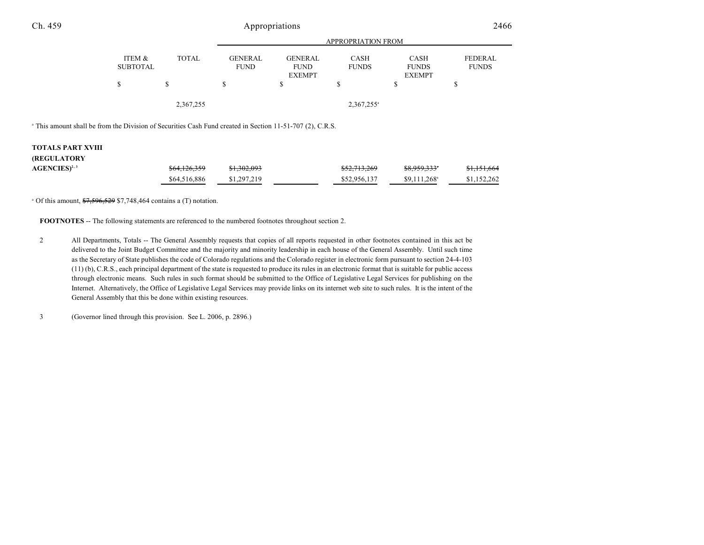|                           |              | <b>APPROPRIATION FROM</b>     |                                                |                             |                                              |                         |  |  |
|---------------------------|--------------|-------------------------------|------------------------------------------------|-----------------------------|----------------------------------------------|-------------------------|--|--|
| ITEM &<br><b>SUBTOTAL</b> | <b>TOTAL</b> | <b>GENERAL</b><br><b>FUND</b> | <b>GENERAL</b><br><b>FUND</b><br><b>EXEMPT</b> | <b>CASH</b><br><b>FUNDS</b> | <b>CASH</b><br><b>FUNDS</b><br><b>EXEMPT</b> | FEDERAL<br><b>FUNDS</b> |  |  |
| \$                        | \$           | \$                            |                                                | S                           | S                                            | \$                      |  |  |
|                           | 2,367,255    |                               |                                                | $2,367,255$ <sup>a</sup>    |                                              |                         |  |  |

<sup>a</sup> This amount shall be from the Division of Securities Cash Fund created in Section 11-51-707 (2), C.R.S.

#### **TOTALS PART XVIII**

| <b>(REGULATORY</b> |              |             |              |                           |             |
|--------------------|--------------|-------------|--------------|---------------------------|-------------|
| $AGENCIES)^{2,3}$  | \$64,126,359 | \$1,302,093 | \$52,713,269 | \$8,959,333*              | \$1,151,664 |
|                    | \$64,516,886 | \$1,297,219 | \$52,956,137 | $$9.111.268$ <sup>a</sup> | \$1,152,262 |

 $^{\circ}$  Of this amount,  $\frac{$7,596,529}{$7,748,464}$  contains a (T) notation.

**FOOTNOTES** -- The following statements are referenced to the numbered footnotes throughout section 2.

2 All Departments, Totals -- The General Assembly requests that copies of all reports requested in other footnotes contained in this act be delivered to the Joint Budget Committee and the majority and minority leadership in each house of the General Assembly. Until such time as the Secretary of State publishes the code of Colorado regulations and the Colorado register in electronic form pursuant to section 24-4-103 (11) (b), C.R.S., each principal department of the state is requested to produce its rules in an electronic format that is suitable for public access through electronic means. Such rules in such format should be submitted to the Office of Legislative Legal Services for publishing on the Internet. Alternatively, the Office of Legislative Legal Services may provide links on its internet web site to such rules. It is the intent of the General Assembly that this be done within existing resources.

3 (Governor lined through this provision. See L. 2006, p. 2896.)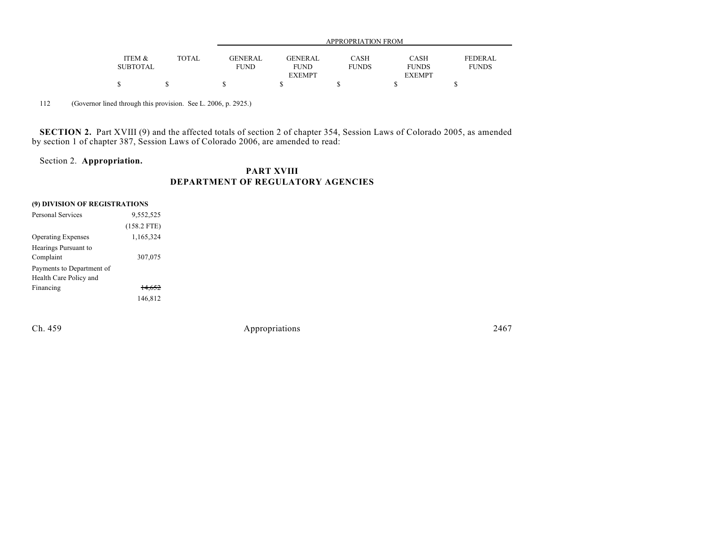|                 |              | APPROPRIATION FROM |                |              |               |                |
|-----------------|--------------|--------------------|----------------|--------------|---------------|----------------|
|                 |              |                    |                |              |               |                |
| ITEM &          | <b>TOTAL</b> | <b>GENERAL</b>     | <b>GENERAL</b> | <b>CASH</b>  | <b>CASH</b>   | <b>FEDERAL</b> |
| <b>SUBTOTAL</b> |              | <b>FUND</b>        | <b>FUND</b>    | <b>FUNDS</b> | <b>FUNDS</b>  | <b>FUNDS</b>   |
|                 |              |                    | <b>EXEMPT</b>  |              | <b>EXEMPT</b> |                |
|                 |              |                    |                |              |               |                |

112 (Governor lined through this provision. See L. 2006, p. 2925.)

**SECTION 2.** Part XVIII (9) and the affected totals of section 2 of chapter 354, Session Laws of Colorado 2005, as amended by section 1 of chapter 387, Session Laws of Colorado 2006, are amended to read:

# Section 2. **Appropriation.**

# **PART XVIII DEPARTMENT OF REGULATORY AGENCIES**

|  | (9) DIVISION OF REGISTRATIONS |  |
|--|-------------------------------|--|
|  |                               |  |

| 9,552,525         |  |
|-------------------|--|
| $(158.2$ FTE)     |  |
| 1,165,324         |  |
|                   |  |
| 307,075           |  |
|                   |  |
|                   |  |
| <del>14.652</del> |  |
| 146,812           |  |
|                   |  |